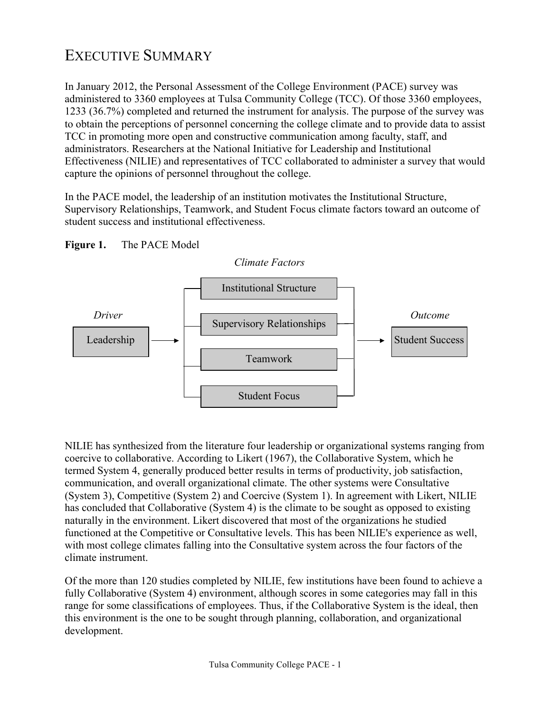## EXECUTIVE SUMMARY

In January 2012, the Personal Assessment of the College Environment (PACE) survey was administered to 3360 employees at Tulsa Community College (TCC). Of those 3360 employees, 1233 (36.7%) completed and returned the instrument for analysis. The purpose of the survey was to obtain the perceptions of personnel concerning the college climate and to provide data to assist TCC in promoting more open and constructive communication among faculty, staff, and administrators. Researchers at the National Initiative for Leadership and Institutional Effectiveness (NILIE) and representatives of TCC collaborated to administer a survey that would capture the opinions of personnel throughout the college.

In the PACE model, the leadership of an institution motivates the Institutional Structure, Supervisory Relationships, Teamwork, and Student Focus climate factors toward an outcome of student success and institutional effectiveness.





NILIE has synthesized from the literature four leadership or organizational systems ranging from coercive to collaborative. According to Likert (1967), the Collaborative System, which he termed System 4, generally produced better results in terms of productivity, job satisfaction, communication, and overall organizational climate. The other systems were Consultative (System 3), Competitive (System 2) and Coercive (System 1). In agreement with Likert, NILIE has concluded that Collaborative (System 4) is the climate to be sought as opposed to existing naturally in the environment. Likert discovered that most of the organizations he studied functioned at the Competitive or Consultative levels. This has been NILIE's experience as well, with most college climates falling into the Consultative system across the four factors of the climate instrument.

Of the more than 120 studies completed by NILIE, few institutions have been found to achieve a fully Collaborative (System 4) environment, although scores in some categories may fall in this range for some classifications of employees. Thus, if the Collaborative System is the ideal, then this environment is the one to be sought through planning, collaboration, and organizational development.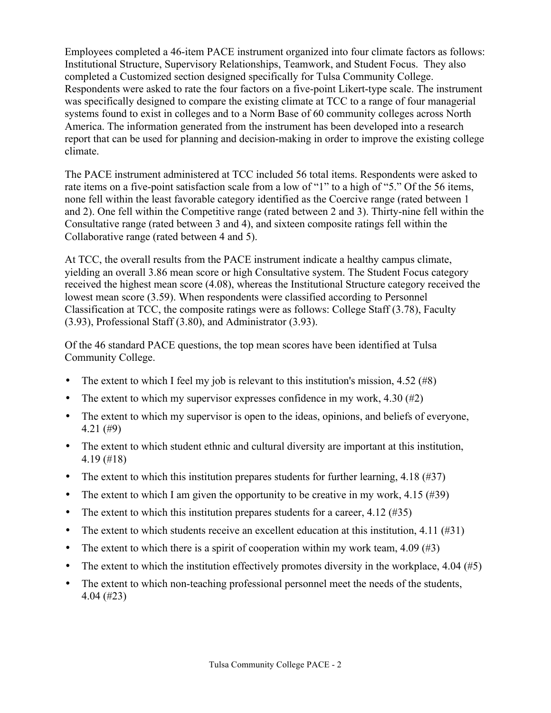Employees completed a 46-item PACE instrument organized into four climate factors as follows: Institutional Structure, Supervisory Relationships, Teamwork, and Student Focus. They also completed a Customized section designed specifically for Tulsa Community College. Respondents were asked to rate the four factors on a five-point Likert-type scale. The instrument was specifically designed to compare the existing climate at TCC to a range of four managerial systems found to exist in colleges and to a Norm Base of 60 community colleges across North America. The information generated from the instrument has been developed into a research report that can be used for planning and decision-making in order to improve the existing college climate.

The PACE instrument administered at TCC included 56 total items. Respondents were asked to rate items on a five-point satisfaction scale from a low of "1" to a high of "5." Of the 56 items, none fell within the least favorable category identified as the Coercive range (rated between 1 and 2). One fell within the Competitive range (rated between 2 and 3). Thirty-nine fell within the Consultative range (rated between 3 and 4), and sixteen composite ratings fell within the Collaborative range (rated between 4 and 5).

At TCC, the overall results from the PACE instrument indicate a healthy campus climate, yielding an overall 3.86 mean score or high Consultative system. The Student Focus category received the highest mean score (4.08), whereas the Institutional Structure category received the lowest mean score (3.59). When respondents were classified according to Personnel Classification at TCC, the composite ratings were as follows: College Staff (3.78), Faculty (3.93), Professional Staff (3.80), and Administrator (3.93).

Of the 46 standard PACE questions, the top mean scores have been identified at Tulsa Community College.

- The extent to which I feel my job is relevant to this institution's mission,  $4.52 \ (\text{\#8})$
- The extent to which my supervisor expresses confidence in my work,  $4.30$  (#2)
- The extent to which my supervisor is open to the ideas, opinions, and beliefs of everyone, 4.21 (#9)
- The extent to which student ethnic and cultural diversity are important at this institution, 4.19 (#18)
- The extent to which this institution prepares students for further learning,  $4.18$  (#37)
- The extent to which I am given the opportunity to be creative in my work, 4.15 (#39)
- The extent to which this institution prepares students for a career,  $4.12 \, (\text{\#35})$
- The extent to which students receive an excellent education at this institution, 4.11 (#31)
- The extent to which there is a spirit of cooperation within my work team,  $4.09$  (#3)
- The extent to which the institution effectively promotes diversity in the workplace,  $4.04 \,(45)$
- The extent to which non-teaching professional personnel meet the needs of the students, 4.04 (#23)